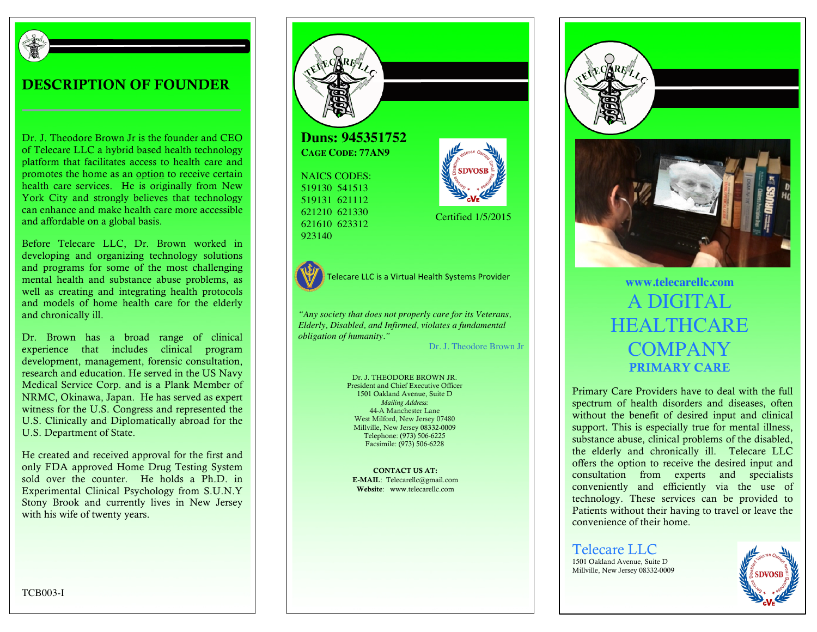

### DESCRIPTION OF FOUNDER

Dr. J. Theodore Brown Jr is the founder and CEO of Telecare LLC a hybrid based health technology platform that facilitates access to health care and promotes the home as an option to receive certain health care services. He is originally from New York City and strongly believes that technology can enhance and make health care more accessible and affordable on a global basis.

Before Telecare LLC, Dr. Brown worked in developing and organizing technology solutions and programs for some of the most challenging mental health and substance abuse problems, as well as creating and integrating health protocols and models of home health care for the elderly and chronically ill.

Dr. Brown has a broad range of clinical experience that includes clinical program development, management, forensic consultation, research and education. He served in the US Navy Medical Service Corp. and is a Plank Member of NRMC, Okinawa, Japan. He has served as expert witness for the U.S. Congress and represented the U.S. Clinically and Diplomatically abroad for the U.S. Department of State.

He created and received approval for the first and only FDA approved Home Drug Testing System sold over the counter. He holds a Ph.D. in Experimental Clinical Psychology from S.U.N.Y Stony Brook and currently lives in New Jersey with his wife of twenty years.



**CAGE CODE: 77AN9**

NAICS CODES: 519130 541513 519131 621112 621210 621330 621610 623312 923140



Telecare LLC is a Virtual Health Systems Provider **www.telecarellc.com** 

*"Any society that does not properly care for its Veterans, Elderly, Disabled, and Infirmed, violates a fundamental obligation of humanity."*

Dr. J. Theodore Brown Jr

Certified 1/5/2015

Dr. J. THEODORE BROWN JR. President and Chief Executive Officer 1501 Oakland Avenue, Suite D *Mailing Address:* 44-A Manchester Lane West Milford, New Jersey 07480 Millville, New Jersey 08332-0009 Telephone: (973) 506-6225 Facsimile: (973) 506-6228

CONTACT US AT: E-MAIL: Telecarellc@gmail.com Website: www.telecarellc.com





# A DIGITAL HEALTHCARE COMPANY PRIMARY CARE

Primary Care Providers have to deal with the full spectrum of health disorders and diseases, often without the benefit of desired input and clinical support. This is especially true for mental illness, substance abuse, clinical problems of the disabled, the elderly and chronically ill. Telecare LLC offers the option to receive the desired input and consultation from experts and specialists conveniently and efficiently via the use of technology. These services can be provided to Patients without their having to travel or leave the convenience of their home.

Telecare LLC 1501 Oakland Avenue, Suite D Millville, New Jersey 08332-0009



TCB003-I